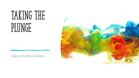# TAKING THE PLUNGE

Speaking at the Mercian Conference

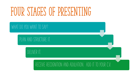# FOUR STAGES OF PRESENTING

WHAT DO YOU WANT TO SAY?

PLAN AND STRUCTURE IT.

DELIVER IT.

### RECEIVE RECOGNITION AND ADULATION. ADD IT TO YOUR C.V.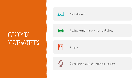### OVERCOMING NERVES/ANXIETIES



Present with a friend



Or pull in a committee member to coach/present with you







Choose a shorter 5 minute lightening talk to gain experience.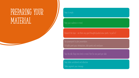## PREPARING YOUR MATERIAL

#### Keep it simple.

Keep your audience in mind.

Research the topic – are there any good thoughts/quotes/view-points to pull in?

Use powerpoint to plan presentation. Or bullet point your introduction, slide points and conclusion.

Pace the talk. Keep time limit in mind. Aim for one point per slide

Keep slides uncluttered and attractive

Slides augment your message.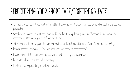## STRUCTURING YOUR SHORT TALK/LIGHTENING TALK

- Tell a story. A journey that you went on? A problem that you solved? A problem that you didn't solve, but has changed your perspective.
- What have you learnt from a situation from work? How has it changed your perspective? What are the implications for management? What would you do differently next time?
- Think about the rhythm of your talk. Can you break up the format insert illustrations/charts/diagrams/video footage?
- Personal anecdotes always good. Or quotes from significant people/student feedback?
- Include material that matters to you so you can talk with meaning and authenticity.
- Re-iterate and sum up at the end key messages
- Questions be prepared it's great to have interaction.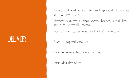## DELIVERY

Present confidently - with enthusiasm. Sometimes it helps to stand and move in order to get your energy levels up.

Remember – the audience are interested in what you have to say. We're all Library Workers. Be conversational but professional

Pace. Don't rush - if you hear yourself begin to "gabble", then slow down.

Nerves. Take deep breaths/ slow down

Prepare well and nerves should be more under control

Practice with a colleague/friend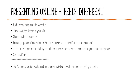# PRESENTING ONLINE - FEELS DIFFERENT

- Find a comfortable space to present in
- Think about the rhythm of your talk.
- Check in with the audience
- Encourage questions/observation in the chat maybe have a friend/colleague monitor chat?
- Talking in an empty room but try and address a person in your head or someone in your room. Teddy bear?
- Cameras/Mics?

\*\*\*\*\*\*\*\*\*\*\*\*\*\*\*\*\*\*\*\*\*\*\*\*\*\*\*\*\*\*\*\*\*\*\*\*\*\*\*\*\*\*\*\*\*

• The 45 minute session would need some longer activities - break-out rooms or polling or padlet